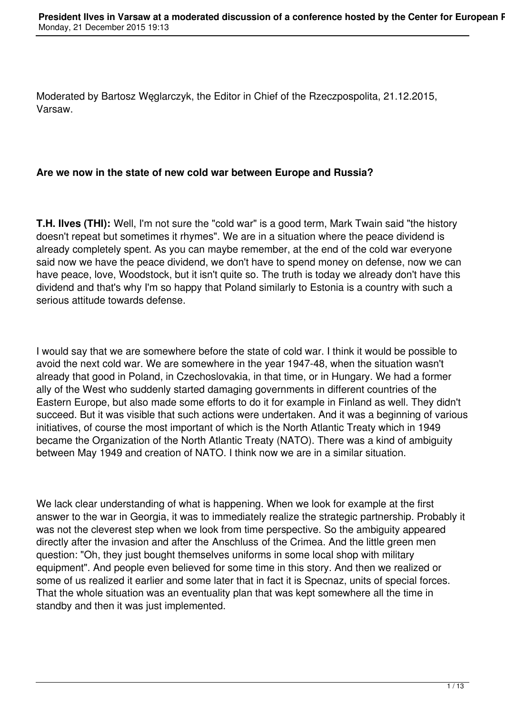Moderated by Bartosz Węglarczyk, the Editor in Chief of the Rzeczpospolita, 21.12.2015, Varsaw.

# **Are we now in the state of new cold war between Europe and Russia?**

**T.H. Ilves (THI):** Well, I'm not sure the "cold war" is a good term, Mark Twain said "the history doesn't repeat but sometimes it rhymes". We are in a situation where the peace dividend is already completely spent. As you can maybe remember, at the end of the cold war everyone said now we have the peace dividend, we don't have to spend money on defense, now we can have peace, love, Woodstock, but it isn't quite so. The truth is today we already don't have this dividend and that's why I'm so happy that Poland similarly to Estonia is a country with such a serious attitude towards defense.

I would say that we are somewhere before the state of cold war. I think it would be possible to avoid the next cold war. We are somewhere in the year 1947-48, when the situation wasn't already that good in Poland, in Czechoslovakia, in that time, or in Hungary. We had a former ally of the West who suddenly started damaging governments in different countries of the Eastern Europe, but also made some efforts to do it for example in Finland as well. They didn't succeed. But it was visible that such actions were undertaken. And it was a beginning of various initiatives, of course the most important of which is the North Atlantic Treaty which in 1949 became the Organization of the North Atlantic Treaty (NATO). There was a kind of ambiguity between May 1949 and creation of NATO. I think now we are in a similar situation.

We lack clear understanding of what is happening. When we look for example at the first answer to the war in Georgia, it was to immediately realize the strategic partnership. Probably it was not the cleverest step when we look from time perspective. So the ambiguity appeared directly after the invasion and after the Anschluss of the Crimea. And the little green men question: "Oh, they just bought themselves uniforms in some local shop with military equipment". And people even believed for some time in this story. And then we realized or some of us realized it earlier and some later that in fact it is Specnaz, units of special forces. That the whole situation was an eventuality plan that was kept somewhere all the time in standby and then it was just implemented.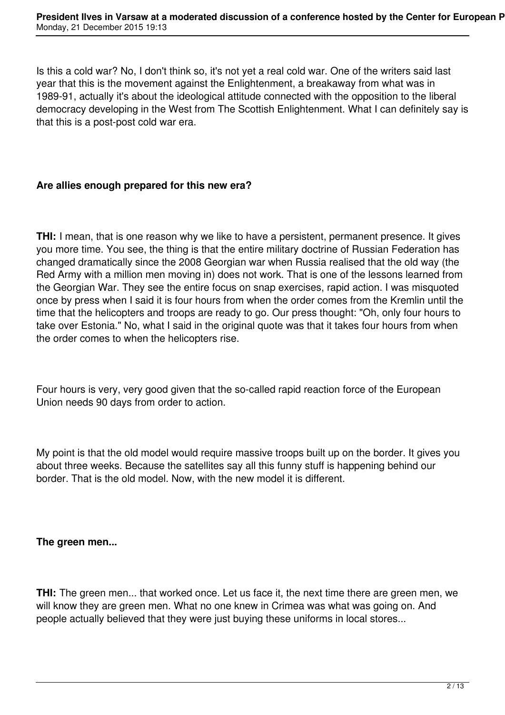Is this a cold war? No, I don't think so, it's not yet a real cold war. One of the writers said last year that this is the movement against the Enlightenment, a breakaway from what was in 1989-91, actually it's about the ideological attitude connected with the opposition to the liberal democracy developing in the West from The Scottish Enlightenment. What I can definitely say is that this is a post-post cold war era.

## **Are allies enough prepared for this new era?**

**THI:** I mean, that is one reason why we like to have a persistent, permanent presence. It gives you more time. You see, the thing is that the entire military doctrine of Russian Federation has changed dramatically since the 2008 Georgian war when Russia realised that the old way (the Red Army with a million men moving in) does not work. That is one of the lessons learned from the Georgian War. They see the entire focus on snap exercises, rapid action. I was misquoted once by press when I said it is four hours from when the order comes from the Kremlin until the time that the helicopters and troops are ready to go. Our press thought: "Oh, only four hours to take over Estonia." No, what I said in the original quote was that it takes four hours from when the order comes to when the helicopters rise.

Four hours is very, very good given that the so-called rapid reaction force of the European Union needs 90 days from order to action.

My point is that the old model would require massive troops built up on the border. It gives you about three weeks. Because the satellites say all this funny stuff is happening behind our border. That is the old model. Now, with the new model it is different.

#### **The green men...**

**THI:** The green men... that worked once. Let us face it, the next time there are green men, we will know they are green men. What no one knew in Crimea was what was going on. And people actually believed that they were just buying these uniforms in local stores...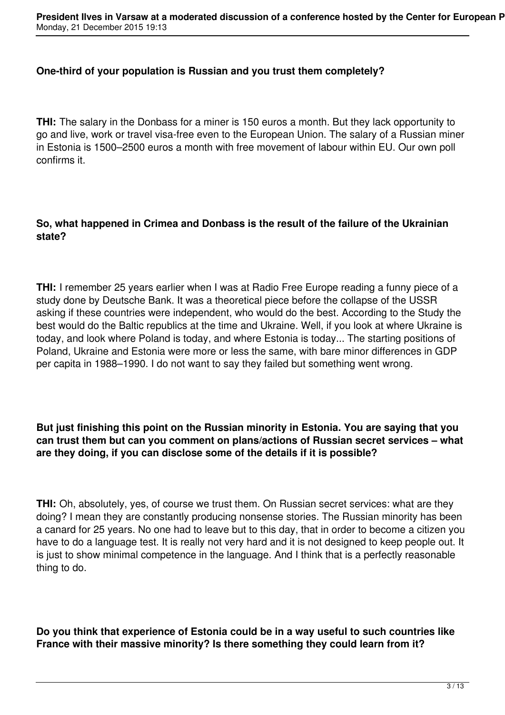#### **One-third of your population is Russian and you trust them completely?**

**THI:** The salary in the Donbass for a miner is 150 euros a month. But they lack opportunity to go and live, work or travel visa-free even to the European Union. The salary of a Russian miner in Estonia is 1500–2500 euros a month with free movement of labour within EU. Our own poll confirms it.

## **So, what happened in Crimea and Donbass is the result of the failure of the Ukrainian state?**

**THI:** I remember 25 years earlier when I was at Radio Free Europe reading a funny piece of a study done by Deutsche Bank. It was a theoretical piece before the collapse of the USSR asking if these countries were independent, who would do the best. According to the Study the best would do the Baltic republics at the time and Ukraine. Well, if you look at where Ukraine is today, and look where Poland is today, and where Estonia is today... The starting positions of Poland, Ukraine and Estonia were more or less the same, with bare minor differences in GDP per capita in 1988–1990. I do not want to say they failed but something went wrong.

## **But just finishing this point on the Russian minority in Estonia. You are saying that you can trust them but can you comment on plans/actions of Russian secret services – what are they doing, if you can disclose some of the details if it is possible?**

**THI:** Oh, absolutely, yes, of course we trust them. On Russian secret services: what are they doing? I mean they are constantly producing nonsense stories. The Russian minority has been a canard for 25 years. No one had to leave but to this day, that in order to become a citizen you have to do a language test. It is really not very hard and it is not designed to keep people out. It is just to show minimal competence in the language. And I think that is a perfectly reasonable thing to do.

**Do you think that experience of Estonia could be in a way useful to such countries like France with their massive minority? Is there something they could learn from it?**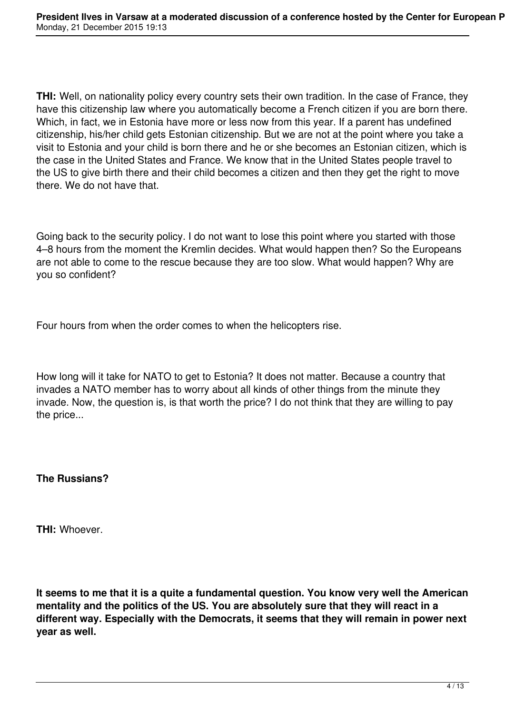**THI:** Well, on nationality policy every country sets their own tradition. In the case of France, they have this citizenship law where you automatically become a French citizen if you are born there. Which, in fact, we in Estonia have more or less now from this year. If a parent has undefined citizenship, his/her child gets Estonian citizenship. But we are not at the point where you take a visit to Estonia and your child is born there and he or she becomes an Estonian citizen, which is the case in the United States and France. We know that in the United States people travel to the US to give birth there and their child becomes a citizen and then they get the right to move there. We do not have that.

Going back to the security policy. I do not want to lose this point where you started with those 4–8 hours from the moment the Kremlin decides. What would happen then? So the Europeans are not able to come to the rescue because they are too slow. What would happen? Why are you so confident?

Four hours from when the order comes to when the helicopters rise.

How long will it take for NATO to get to Estonia? It does not matter. Because a country that invades a NATO member has to worry about all kinds of other things from the minute they invade. Now, the question is, is that worth the price? I do not think that they are willing to pay the price...

## **The Russians?**

**THI:** Whoever.

**It seems to me that it is a quite a fundamental question. You know very well the American mentality and the politics of the US. You are absolutely sure that they will react in a different way. Especially with the Democrats, it seems that they will remain in power next year as well.**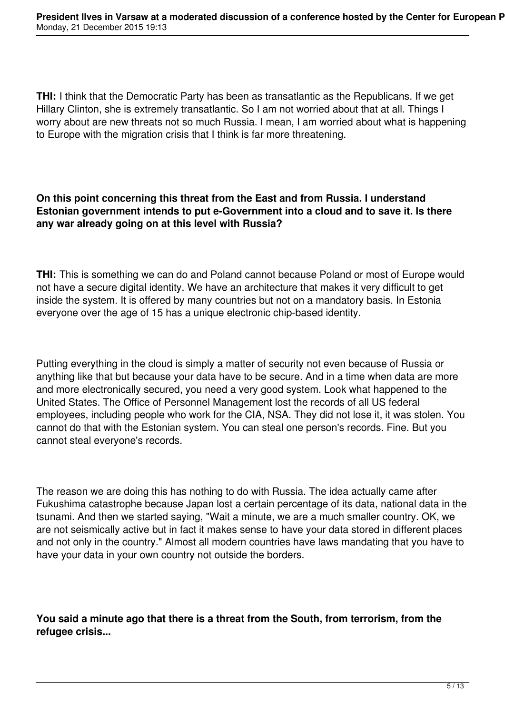**THI:** I think that the Democratic Party has been as transatlantic as the Republicans. If we get Hillary Clinton, she is extremely transatlantic. So I am not worried about that at all. Things I worry about are new threats not so much Russia. I mean, I am worried about what is happening to Europe with the migration crisis that I think is far more threatening.

## **On this point concerning this threat from the East and from Russia. I understand Estonian government intends to put e-Government into a cloud and to save it. Is there any war already going on at this level with Russia?**

**THI:** This is something we can do and Poland cannot because Poland or most of Europe would not have a secure digital identity. We have an architecture that makes it very difficult to get inside the system. It is offered by many countries but not on a mandatory basis. In Estonia everyone over the age of 15 has a unique electronic chip-based identity.

Putting everything in the cloud is simply a matter of security not even because of Russia or anything like that but because your data have to be secure. And in a time when data are more and more electronically secured, you need a very good system. Look what happened to the United States. The Office of Personnel Management lost the records of all US federal employees, including people who work for the CIA, NSA. They did not lose it, it was stolen. You cannot do that with the Estonian system. You can steal one person's records. Fine. But you cannot steal everyone's records.

The reason we are doing this has nothing to do with Russia. The idea actually came after Fukushima catastrophe because Japan lost a certain percentage of its data, national data in the tsunami. And then we started saying, "Wait a minute, we are a much smaller country. OK, we are not seismically active but in fact it makes sense to have your data stored in different places and not only in the country." Almost all modern countries have laws mandating that you have to have your data in your own country not outside the borders.

**You said a minute ago that there is a threat from the South, from terrorism, from the refugee crisis...**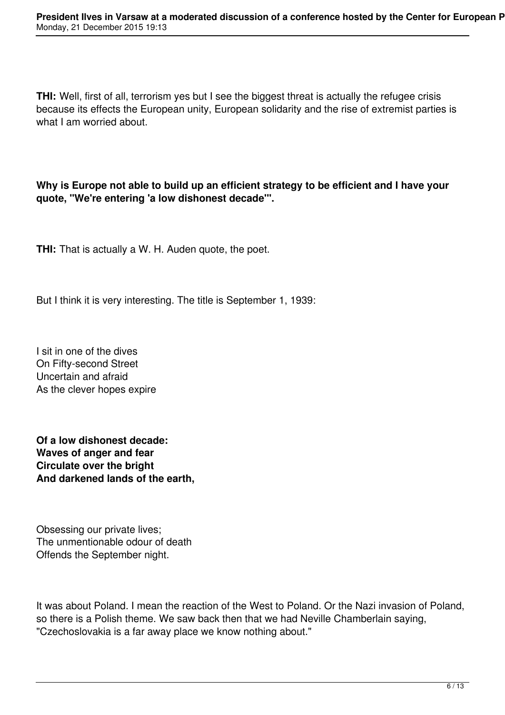**THI:** Well, first of all, terrorism yes but I see the biggest threat is actually the refugee crisis because its effects the European unity, European solidarity and the rise of extremist parties is what I am worried about.

**Why is Europe not able to build up an efficient strategy to be efficient and I have your quote, "We're entering 'a low dishonest decade'".**

**THI:** That is actually a W. H. Auden quote, the poet.

But I think it is very interesting. The title is September 1, 1939:

I sit in one of the dives On Fifty-second Street Uncertain and afraid As the clever hopes expire

**Of a low dishonest decade: Waves of anger and fear Circulate over the bright And darkened lands of the earth,**

Obsessing our private lives; The unmentionable odour of death Offends the September night.

It was about Poland. I mean the reaction of the West to Poland. Or the Nazi invasion of Poland, so there is a Polish theme. We saw back then that we had Neville Chamberlain saying, "Czechoslovakia is a far away place we know nothing about."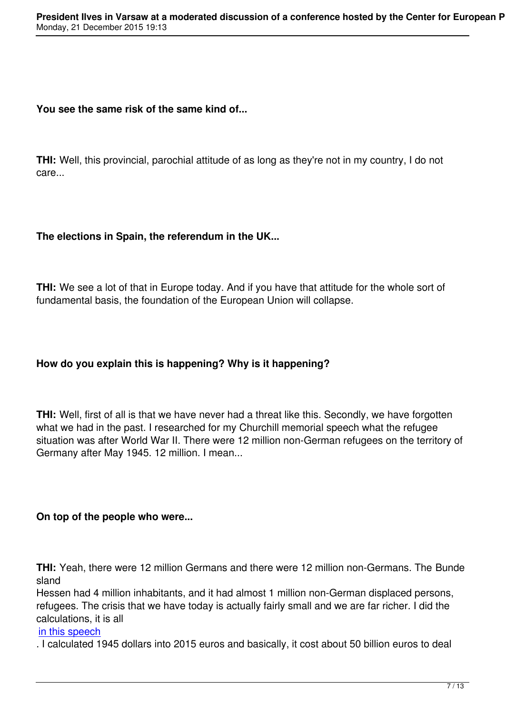## **You see the same risk of the same kind of...**

**THI:** Well, this provincial, parochial attitude of as long as they're not in my country, I do not care...

## **The elections in Spain, the referendum in the UK...**

**THI:** We see a lot of that in Europe today. And if you have that attitude for the whole sort of fundamental basis, the foundation of the European Union will collapse.

# **How do you explain this is happening? Why is it happening?**

**THI:** Well, first of all is that we have never had a threat like this. Secondly, we have forgotten what we had in the past. I researched for my Churchill memorial speech what the refugee situation was after World War II. There were 12 million non-German refugees on the territory of Germany after May 1945. 12 million. I mean...

## **On top of the people who were...**

**THI:** Yeah, there were 12 million Germans and there were 12 million non-Germans. The Bunde sland

Hessen had 4 million inhabitants, and it had almost 1 million non-German displaced persons, refugees. The crisis that we have today is actually fairly small and we are far richer. I did the calculations, it is all

#### in this speech

. I calculated 1945 dollars into 2015 euros and basically, it cost about 50 billion euros to deal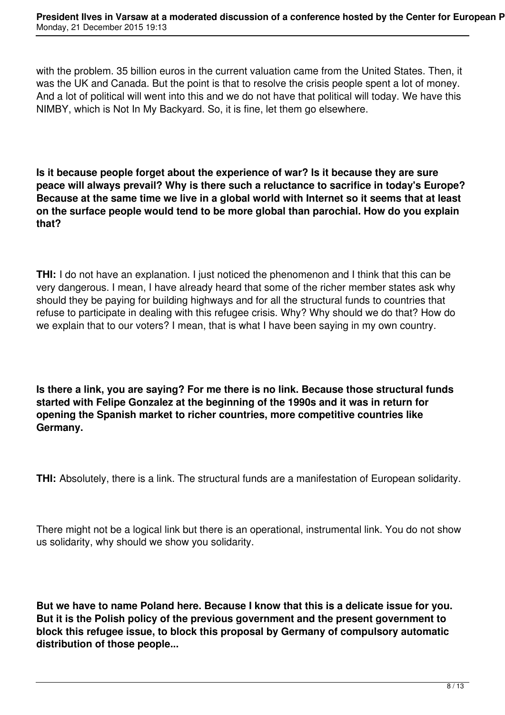with the problem. 35 billion euros in the current valuation came from the United States. Then, it was the UK and Canada. But the point is that to resolve the crisis people spent a lot of money. And a lot of political will went into this and we do not have that political will today. We have this NIMBY, which is Not In My Backyard. So, it is fine, let them go elsewhere.

**Is it because people forget about the experience of war? Is it because they are sure peace will always prevail? Why is there such a reluctance to sacrifice in today's Europe? Because at the same time we live in a global world with Internet so it seems that at least on the surface people would tend to be more global than parochial. How do you explain that?**

**THI:** I do not have an explanation. I just noticed the phenomenon and I think that this can be very dangerous. I mean, I have already heard that some of the richer member states ask why should they be paying for building highways and for all the structural funds to countries that refuse to participate in dealing with this refugee crisis. Why? Why should we do that? How do we explain that to our voters? I mean, that is what I have been saying in my own country.

**Is there a link, you are saying? For me there is no link. Because those structural funds started with Felipe Gonzalez at the beginning of the 1990s and it was in return for opening the Spanish market to richer countries, more competitive countries like Germany.**

**THI:** Absolutely, there is a link. The structural funds are a manifestation of European solidarity.

There might not be a logical link but there is an operational, instrumental link. You do not show us solidarity, why should we show you solidarity.

**But we have to name Poland here. Because I know that this is a delicate issue for you. But it is the Polish policy of the previous government and the present government to block this refugee issue, to block this proposal by Germany of compulsory automatic distribution of those people...**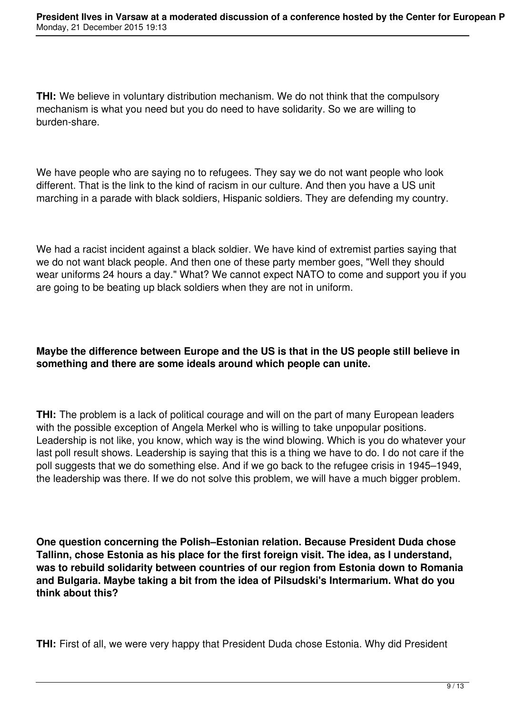**THI:** We believe in voluntary distribution mechanism. We do not think that the compulsory mechanism is what you need but you do need to have solidarity. So we are willing to burden-share.

We have people who are saying no to refugees. They say we do not want people who look different. That is the link to the kind of racism in our culture. And then you have a US unit marching in a parade with black soldiers, Hispanic soldiers. They are defending my country.

We had a racist incident against a black soldier. We have kind of extremist parties saying that we do not want black people. And then one of these party member goes, "Well they should wear uniforms 24 hours a day." What? We cannot expect NATO to come and support you if you are going to be beating up black soldiers when they are not in uniform.

# **Maybe the difference between Europe and the US is that in the US people still believe in something and there are some ideals around which people can unite.**

**THI:** The problem is a lack of political courage and will on the part of many European leaders with the possible exception of Angela Merkel who is willing to take unpopular positions. Leadership is not like, you know, which way is the wind blowing. Which is you do whatever your last poll result shows. Leadership is saying that this is a thing we have to do. I do not care if the poll suggests that we do something else. And if we go back to the refugee crisis in 1945–1949, the leadership was there. If we do not solve this problem, we will have a much bigger problem.

**One question concerning the Polish–Estonian relation. Because President Duda chose Tallinn, chose Estonia as his place for the first foreign visit. The idea, as I understand, was to rebuild solidarity between countries of our region from Estonia down to Romania and Bulgaria. Maybe taking a bit from the idea of Pilsudski's Intermarium. What do you think about this?**

**THI:** First of all, we were very happy that President Duda chose Estonia. Why did President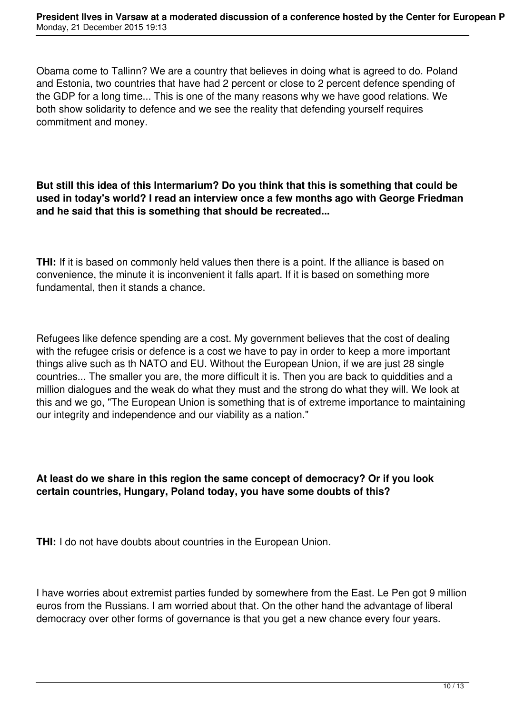Obama come to Tallinn? We are a country that believes in doing what is agreed to do. Poland and Estonia, two countries that have had 2 percent or close to 2 percent defence spending of the GDP for a long time... This is one of the many reasons why we have good relations. We both show solidarity to defence and we see the reality that defending yourself requires commitment and money.

## **But still this idea of this Intermarium? Do you think that this is something that could be used in today's world? I read an interview once a few months ago with George Friedman and he said that this is something that should be recreated...**

**THI:** If it is based on commonly held values then there is a point. If the alliance is based on convenience, the minute it is inconvenient it falls apart. If it is based on something more fundamental, then it stands a chance.

Refugees like defence spending are a cost. My government believes that the cost of dealing with the refugee crisis or defence is a cost we have to pay in order to keep a more important things alive such as th NATO and EU. Without the European Union, if we are just 28 single countries... The smaller you are, the more difficult it is. Then you are back to quiddities and a million dialogues and the weak do what they must and the strong do what they will. We look at this and we go, "The European Union is something that is of extreme importance to maintaining our integrity and independence and our viability as a nation."

## **At least do we share in this region the same concept of democracy? Or if you look certain countries, Hungary, Poland today, you have some doubts of this?**

**THI:** I do not have doubts about countries in the European Union.

I have worries about extremist parties funded by somewhere from the East. Le Pen got 9 million euros from the Russians. I am worried about that. On the other hand the advantage of liberal democracy over other forms of governance is that you get a new chance every four years.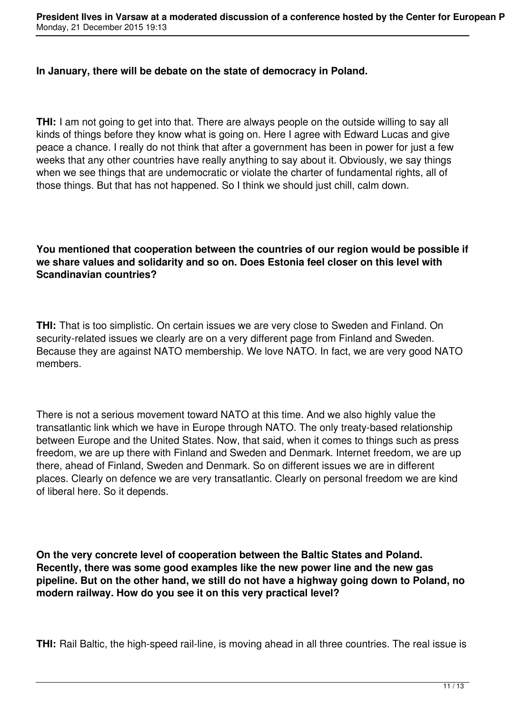#### **In January, there will be debate on the state of democracy in Poland.**

**THI:** I am not going to get into that. There are always people on the outside willing to say all kinds of things before they know what is going on. Here I agree with Edward Lucas and give peace a chance. I really do not think that after a government has been in power for just a few weeks that any other countries have really anything to say about it. Obviously, we say things when we see things that are undemocratic or violate the charter of fundamental rights, all of those things. But that has not happened. So I think we should just chill, calm down.

**You mentioned that cooperation between the countries of our region would be possible if we share values and solidarity and so on. Does Estonia feel closer on this level with Scandinavian countries?**

**THI:** That is too simplistic. On certain issues we are very close to Sweden and Finland. On security-related issues we clearly are on a very different page from Finland and Sweden. Because they are against NATO membership. We love NATO. In fact, we are very good NATO members.

There is not a serious movement toward NATO at this time. And we also highly value the transatlantic link which we have in Europe through NATO. The only treaty-based relationship between Europe and the United States. Now, that said, when it comes to things such as press freedom, we are up there with Finland and Sweden and Denmark. Internet freedom, we are up there, ahead of Finland, Sweden and Denmark. So on different issues we are in different places. Clearly on defence we are very transatlantic. Clearly on personal freedom we are kind of liberal here. So it depends.

**On the very concrete level of cooperation between the Baltic States and Poland. Recently, there was some good examples like the new power line and the new gas pipeline. But on the other hand, we still do not have a highway going down to Poland, no modern railway. How do you see it on this very practical level?**

**THI:** Rail Baltic, the high-speed rail-line, is moving ahead in all three countries. The real issue is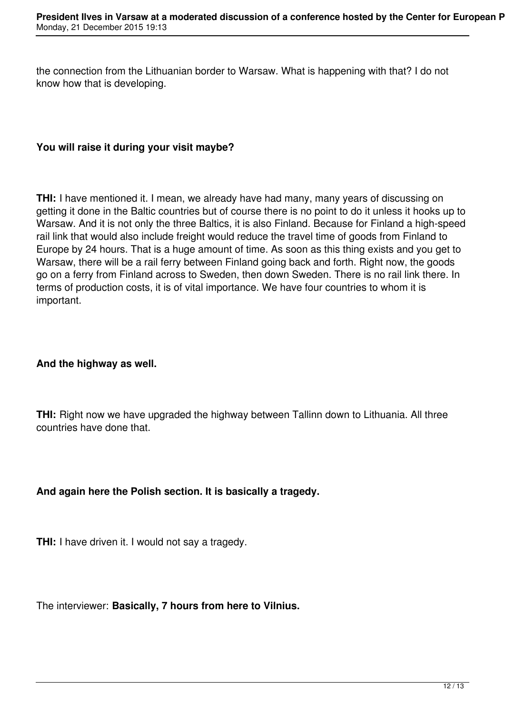the connection from the Lithuanian border to Warsaw. What is happening with that? I do not know how that is developing.

### **You will raise it during your visit maybe?**

**THI:** I have mentioned it. I mean, we already have had many, many years of discussing on getting it done in the Baltic countries but of course there is no point to do it unless it hooks up to Warsaw. And it is not only the three Baltics, it is also Finland. Because for Finland a high-speed rail link that would also include freight would reduce the travel time of goods from Finland to Europe by 24 hours. That is a huge amount of time. As soon as this thing exists and you get to Warsaw, there will be a rail ferry between Finland going back and forth. Right now, the goods go on a ferry from Finland across to Sweden, then down Sweden. There is no rail link there. In terms of production costs, it is of vital importance. We have four countries to whom it is important.

#### **And the highway as well.**

**THI:** Right now we have upgraded the highway between Tallinn down to Lithuania. All three countries have done that.

## **And again here the Polish section. It is basically a tragedy.**

**THI:** I have driven it. I would not say a tragedy.

The interviewer: **Basically, 7 hours from here to Vilnius.**